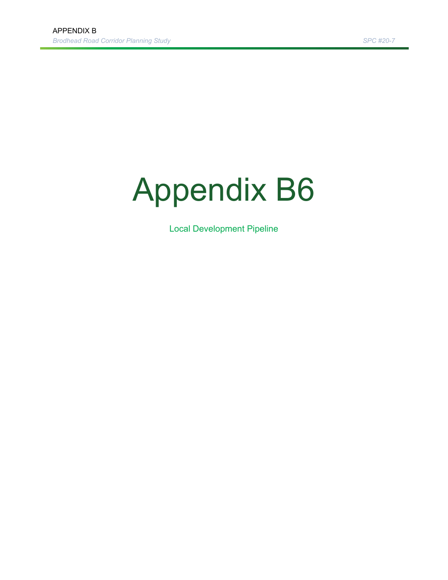## Appendix B6

Local Development Pipeline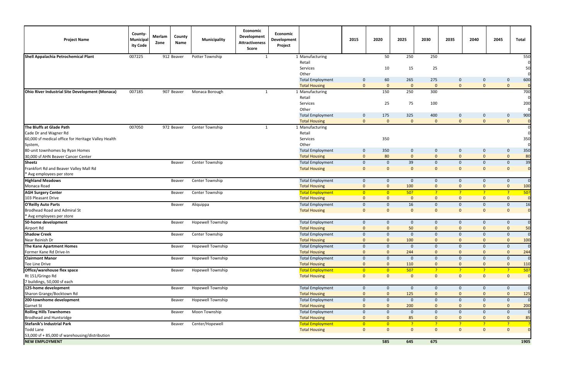| <b>Project Name</b>                                    | County-<br>Municipal<br>ity Code | Merlam<br>Zone | County<br>Name | <b>Municipality</b>      | Economic<br><b>Development</b><br><b>Attractiveness</b><br>Score | Economic<br>Development<br>Project |                         | 2015           | 2020           | 2025           | 2030           | 2035           | 2040           | 2045           | Total          |
|--------------------------------------------------------|----------------------------------|----------------|----------------|--------------------------|------------------------------------------------------------------|------------------------------------|-------------------------|----------------|----------------|----------------|----------------|----------------|----------------|----------------|----------------|
| Shell Appalachia Petrochemical Plant                   | 007225                           |                | 912 Beaver     | Potter Township          | 1                                                                |                                    | 1 Manufacturing         |                | 50             | 250            | 250            |                |                |                | 550            |
|                                                        |                                  |                |                |                          |                                                                  |                                    | Retail                  |                |                |                |                |                |                |                |                |
|                                                        |                                  |                |                |                          |                                                                  |                                    | Services                |                | 10             | 15             | 25             |                |                |                | 50             |
|                                                        |                                  |                |                |                          |                                                                  |                                    | Other                   |                |                |                |                |                |                |                |                |
|                                                        |                                  |                |                |                          |                                                                  |                                    | <b>Total Employment</b> | $\mathbf 0$    | 60             | 265            | 275            | $\mathbf 0$    | $\mathbf 0$    | $\mathbf 0$    | 600            |
|                                                        |                                  |                |                |                          |                                                                  |                                    | <b>Total Housing</b>    | $\mathbf{0}$   | $\mathbf{0}$   | $\mathbf{0}$   | $\mathbf{0}$   | $\mathbf{0}$   | $\mathbf{0}$   | $\mathbf{0}$   |                |
| <b>Ohio River Industrial Site Development (Monaca)</b> | 007185                           |                | 907 Beaver     | Monaca Borough           | $\mathbf{1}$                                                     |                                    | 1 Manufacturing         |                | 150            | 250            | 300            |                |                |                | 700            |
|                                                        |                                  |                |                |                          |                                                                  |                                    | Retail                  |                |                |                |                |                |                |                |                |
|                                                        |                                  |                |                |                          |                                                                  |                                    | Services                |                | 25             | 75             | 100            |                |                |                | 200            |
|                                                        |                                  |                |                |                          |                                                                  |                                    | Other                   |                |                |                |                |                |                |                |                |
|                                                        |                                  |                |                |                          |                                                                  |                                    | <b>Total Employment</b> | 0              | 175            | 325            | 400            | $\mathbf{0}$   | 0              | $\mathbf 0$    | 900            |
|                                                        |                                  |                |                |                          |                                                                  |                                    | <b>Total Housing</b>    | $\mathbf{0}$   | $\mathbf{0}$   | $\mathbf{0}$   | $\mathbf{0}$   | $\mathbf{0}$   | $\mathbf{0}$   | $\mathbf{0}$   |                |
| The Bluffs at Glade Path                               | 007050                           |                | 972 Beaver     | Center Township          | 1                                                                |                                    | 1 Manufacturing         |                |                |                |                |                |                |                |                |
| Cade Dr and Wagner Rd                                  |                                  |                |                |                          |                                                                  |                                    | Retail                  |                |                |                |                |                |                |                |                |
| 60,000 sf medical office for Heritage Valley Health    |                                  |                |                |                          |                                                                  |                                    | Services<br>Other       |                | 350            |                |                |                |                |                | 350            |
| System,<br>80-unit townhomes by Ryan Homes             |                                  |                |                |                          |                                                                  |                                    | <b>Total Employment</b> | $\mathbf 0$    | 350            | $\mathbf{0}$   | $\mathbf 0$    | $\mathbf 0$    | $\mathbf{0}$   | $\mathbf 0$    | 350            |
| 30,000 sf AHN Beaver Cancer Center                     |                                  |                |                |                          |                                                                  |                                    | <b>Total Housing</b>    | $\mathbf{0}$   | 80             | $\mathbf{0}$   | $\mathbf{0}$   | $\mathbf{0}$   | $\mathbf{0}$   | $\mathbf{0}$   | 80             |
| <b>Sheetz</b>                                          |                                  |                | Beaver         | Center Township          |                                                                  |                                    | <b>Total Employment</b> | $\mathbf 0$    | $\mathbf 0$    | 39             | $\mathbf 0$    | $\mathbf 0$    | $\mathbf{0}$   | $\mathbf 0$    | 39             |
| Frankfort Rd and Beaver Valley Mall Rd                 |                                  |                |                |                          |                                                                  |                                    | <b>Total Housing</b>    | $\mathbf 0$    | $\mathbf{0}$   | $\overline{0}$ | $\mathbf{0}$   | $\mathbf{0}$   | $\mathbf 0$    | $\Omega$       | $\overline{0}$ |
| * Avg employees per store                              |                                  |                |                |                          |                                                                  |                                    |                         |                |                |                |                |                |                |                |                |
| <b>Highland Meadows</b>                                |                                  |                | Beaver         | Center Township          |                                                                  |                                    | <b>Total Employment</b> | $\mathbf 0$    | $\mathbf 0$    | $\mathbf 0$    | $\mathbf 0$    | $\mathbf 0$    | $\mathbf 0$    | $\mathbf 0$    | $\Omega$       |
| Monaca Road                                            |                                  |                |                |                          |                                                                  |                                    | <b>Total Housing</b>    | $\mathbf{0}$   | $\mathbf 0$    | 100            | $\mathbf 0$    | $\mathbf{0}$   | $\mathbf{0}$   | $\mathbf{0}$   | 100            |
| <b>AGH Surgery Center</b>                              |                                  |                | Beaver         | Center Township          |                                                                  |                                    | <b>Total Employment</b> | $\overline{0}$ | $\overline{0}$ | 50?            | -?             | $\overline{?}$ | 2              | $\overline{?}$ | 50?            |
| 103 Pleasant Drive                                     |                                  |                |                |                          |                                                                  |                                    | <b>Total Housing</b>    | $\mathbf{0}$   | $\mathbf{0}$   | $\mathbf 0$    | $\mathbf{0}$   | $\mathbf{0}$   | $\mathbf{0}$   | $\mathbf{0}$   | $\Omega$       |
| <b>O'Reilly Auto Parts</b>                             |                                  |                | Beaver         | Aliquippa                |                                                                  |                                    | <b>Total Employment</b> | $\mathbf 0$    | $\mathbf 0$    | 16             | $\mathbf 0$    | $\mathbf 0$    | $\mathbf{0}$   | $\mathbf 0$    | 16             |
| <b>Brodhead Road and Admiral St</b>                    |                                  |                |                |                          |                                                                  |                                    | <b>Total Housing</b>    | $\mathbf{0}$   | $\mathbf{0}$   | $\mathbf{0}$   | $\mathbf{0}$   | $\mathbf{0}$   | $\mathbf{0}$   | $\mathbf{0}$   | $\overline{0}$ |
| * Avg employees per store                              |                                  |                |                |                          |                                                                  |                                    |                         |                |                |                |                |                |                |                |                |
| 50-home development                                    |                                  |                | Beaver         | Hopewell Township        |                                                                  |                                    | <b>Total Employment</b> | $\mathbf 0$    | $\mathbf 0$    | $\mathbf 0$    | $\mathbf 0$    | $\mathbf 0$    | $\mathbf{0}$   | $\mathbf 0$    | $\overline{0}$ |
| Airport Rd                                             |                                  |                |                |                          |                                                                  |                                    | <b>Total Housing</b>    | $\mathbf{0}$   | $\Omega$       | 50             | $\mathbf 0$    | $\mathbf{0}$   | $\mathbf{0}$   | $\mathbf 0$    | 50             |
| <b>Shadow Creek</b>                                    |                                  |                | Beaver         | Center Township          |                                                                  |                                    | <b>Total Employment</b> | $\mathbf 0$    | $\mathbf 0$    | $\mathbf 0$    | $\mathbf{0}$   | $\mathbf 0$    | $\mathbf{0}$   | $\mathbf 0$    | $\overline{0}$ |
| Near Reinish Dr                                        |                                  |                |                |                          |                                                                  |                                    | <b>Total Housing</b>    | $\mathbf{0}$   | $\mathbf{0}$   | 100            | $\mathbf 0$    | $\mathbf{0}$   | $\mathbf{0}$   | $\mathbf{0}$   | 100            |
| The Kane Apartment Homes                               |                                  |                | Beaver         | Hopewell Township        |                                                                  |                                    | <b>Total Employment</b> | $\mathbf 0$    | $\mathbf 0$    | $\mathbf{0}$   | 0              | $\mathbf{0}$   | $\mathbf{0}$   | $\mathbf 0$    | $\overline{0}$ |
| Former Kane Rd Drive-In                                |                                  |                |                |                          |                                                                  |                                    | <b>Total Housing</b>    | $\Omega$       | $\Omega$       | 244            | $\Omega$       | $\mathbf{0}$   | $\Omega$       | $\Omega$       | 244            |
| <b>Clairmont Manor</b>                                 |                                  |                | Beaver         | <b>Hopewell Township</b> |                                                                  |                                    | <b>Total Employment</b> | $\mathbf 0$    | $\mathbf 0$    | $\mathbf 0$    | $\mathbf{0}$   | $\mathbf 0$    | $\mathbf 0$    | $\mathbf 0$    | $\overline{0}$ |
| Tee Line Drive                                         |                                  |                |                |                          |                                                                  |                                    | <b>Total Housing</b>    | $\mathbf 0$    | $\mathbf{0}$   | 110            | $\mathbf 0$    | $\mathbf{0}$   | $\mathbf{0}$   | $\mathbf{0}$   | 110            |
| Office/warehouse flex space                            |                                  |                | Beaver         | Hopewell Township        |                                                                  |                                    | <b>Total Employment</b> | $\overline{0}$ | $\overline{0}$ | 50?            | 2              | $\overline{?}$ | $\overline{P}$ | $\overline{?}$ | 50?            |
| Rt 151/Gringo Rd                                       |                                  |                |                |                          |                                                                  |                                    | <b>Total Housing</b>    | $\overline{0}$ | $\mathbf{0}$   | $\mathbf{0}$   | $\mathbf{0}$   | $\overline{0}$ | $\mathbf{0}$   | $\mathbf{0}$   | $\overline{O}$ |
| 7 buildings, 50,000 sf each                            |                                  |                |                |                          |                                                                  |                                    |                         |                |                |                |                |                |                |                |                |
| 125-home development                                   |                                  |                | Beaver         | Hopewell Township        |                                                                  |                                    | <b>Total Employment</b> | $\mathbf 0$    | $\mathbf 0$    | $\mathbf{0}$   | $\mathbf{0}$   | $\mathbf 0$    | $\mathbf{0}$   | $\mathbf 0$    | $\overline{0}$ |
| Sharon Grange/Bocktown Rd                              |                                  |                |                |                          |                                                                  |                                    | <b>Total Housing</b>    | $\mathbf{0}$   | $\mathbf 0$    | 125            | $\overline{0}$ | $\mathbf{0}$   | $\mathbf{0}$   |                | 125            |
| 200-townhome development                               |                                  |                | Beaver         | Hopewell Township        |                                                                  |                                    | <b>Total Employment</b> | $\mathbf 0$    | $\mathbf 0$    | $\mathbf 0$    | $\mathbf 0$    | $\mathbf 0$    | $\mathbf 0$    | $\mathbf 0$    | $\Omega$       |
| <b>Garnet St</b>                                       |                                  |                |                |                          |                                                                  |                                    | <b>Total Housing</b>    | $\mathbf 0$    | $\mathbf{0}$   | 200            | $\mathbf 0$    | $\mathbf{0}$   | $\mathbf{0}$   |                | 200            |
| <b>Rolling Hills Townhomes</b>                         |                                  |                | Beaver         | Moon Township            |                                                                  |                                    | <b>Total Employment</b> | $\mathbf 0$    | $\mathbf 0$    | $\mathbf 0$    | $\mathbf 0$    | $\mathbf{0}$   | $\mathbf{0}$   | $\mathbf 0$    | $\overline{0}$ |
| <b>Brodhead and Huntsridge</b>                         |                                  |                |                |                          |                                                                  |                                    | <b>Total Housing</b>    | $\mathbf{0}$   | $\Omega$       | 85             | 0              | $\mathbf{0}$   | $\mathbf{0}$   | $\Omega$       | 85             |
| <b>Stefanik's Industrial Park</b>                      |                                  |                | Beaver         | Center/Hopewell          |                                                                  |                                    | <b>Total Employment</b> | $\overline{0}$ | $\overline{0}$ | -?             | -2.            | $\overline{?}$ | 2              | $\overline{?}$ |                |
| <b>Todd Lane</b>                                       |                                  |                |                |                          |                                                                  |                                    | <b>Total Housing</b>    | $\overline{0}$ | $\mathbf{0}$   | $\mathbf{0}$   | $\mathbf{0}$   | $\mathbf{0}$   | $\mathbf{0}$   | $\mathbf{0}$   | $\overline{O}$ |
| 53,000 sf + 85,000 sf warehousing/distribution         |                                  |                |                |                          |                                                                  |                                    |                         |                |                |                |                |                |                |                |                |
| <b>NEW EMPLOYMENT</b>                                  |                                  |                |                |                          |                                                                  |                                    |                         |                | 585            | 645            | 675            |                |                |                | 1905           |